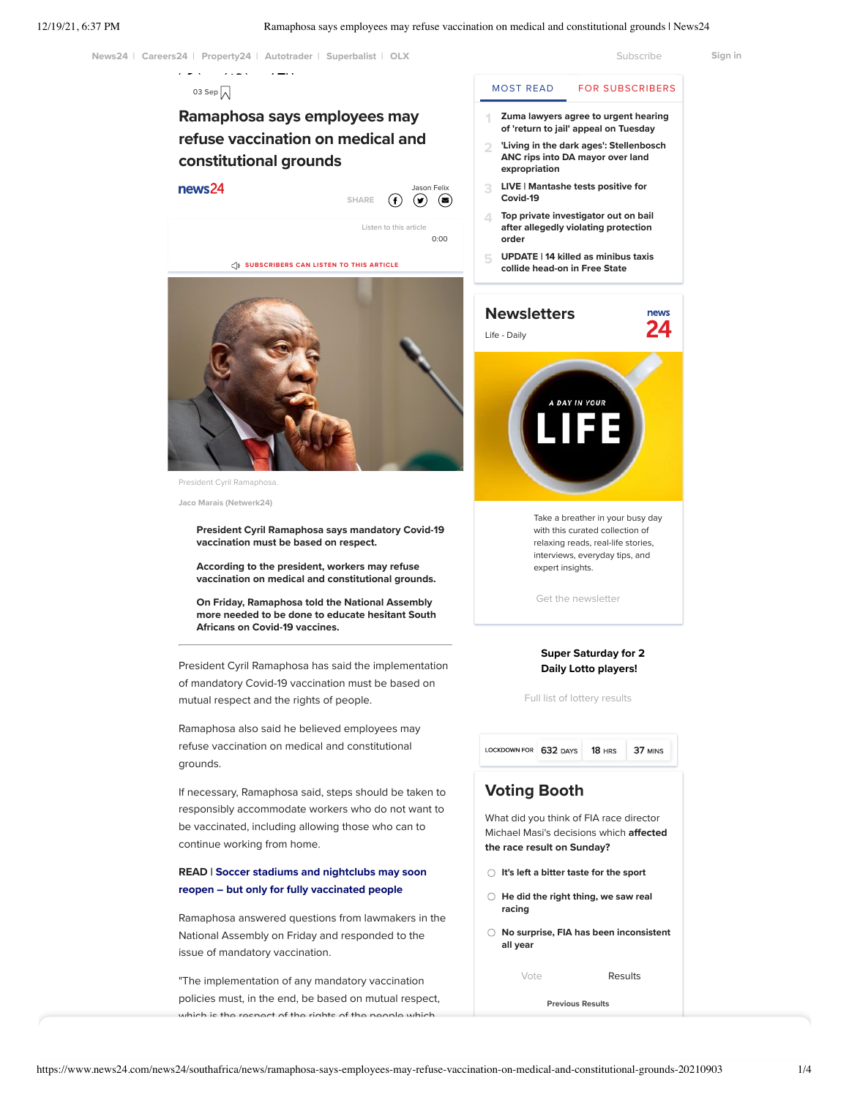

policies must, in the end, be based on mutual respect, which is the respect of the rights of the people which

[Previous Results](https://www.news24.com/news24/vote)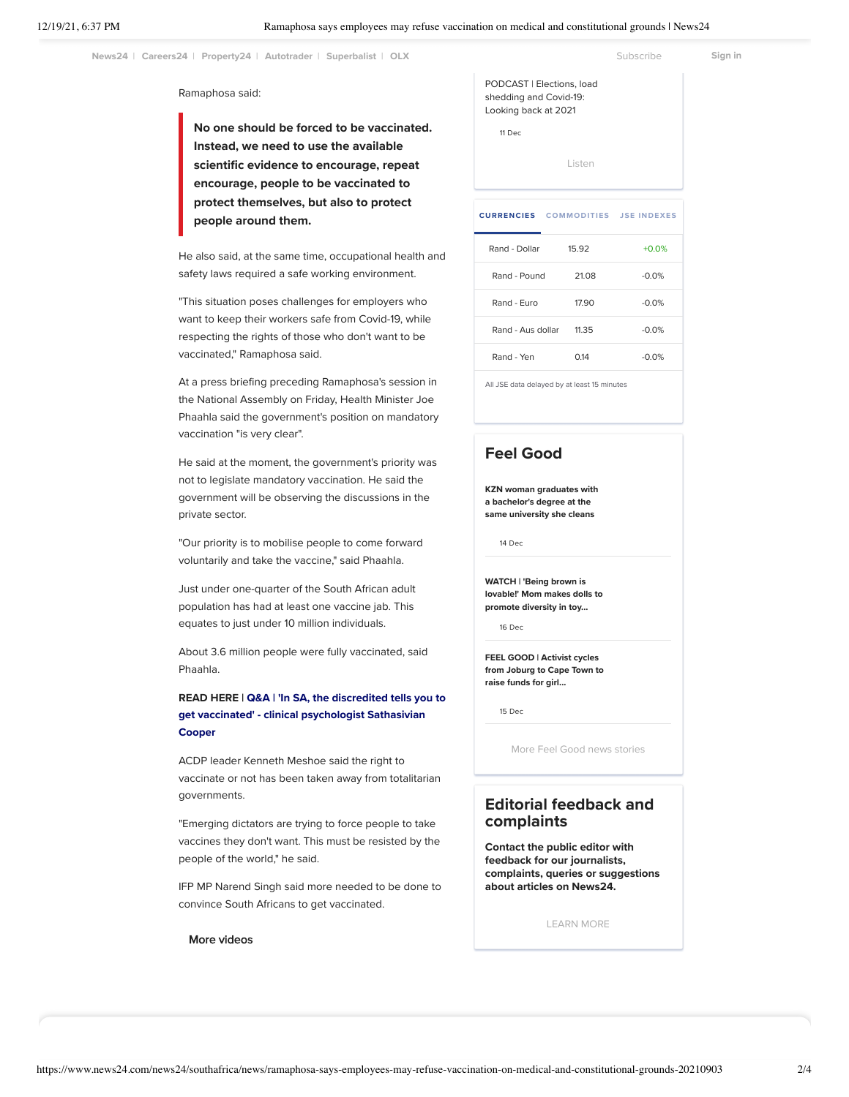operation of the employers business. Now the employer of the employer is a set of the employer of the employer<br>Now that is quite the employer of the employer of the employer of the employer of the employer of the Subscrib a delicate balance that needs to be struck," he said.

#### Ramaphosa said:

No one should be forced to be vaccinated. Instead, we need to use the available scientific evidence to encourage, repeat encourage, people to be vaccinated to protect themselves, but also to protect people around them.

He also said, at the same time, occupational health and safety laws required a safe working environment.

"This situation poses challenges for employers who want to keep their workers safe from Covid-19, while respecting the rights of those who don't want to be vaccinated," Ramaphosa said.

At a press briefing preceding Ramaphosa's session in the National Assembly on Friday, Health Minister Joe Phaahla said the government's position on mandatory vaccination "is very clear".

He said at the moment, the government's priority was not to legislate mandatory vaccination. He said the government will be observing the discussions in the private sector.

"Our priority is to mobilise people to come forward voluntarily and take the vaccine," said Phaahla.

Just under one-quarter of the South African adult population has had at least one vaccine jab. This equates to just under 10 million individuals.

About 3.6 million people were fully vaccinated, said Phaahla.

## [READ HERE | Q&A | 'In SA, the discredited tells you to](https://www.news24.com/news24/opinions/fridaybriefing/qa-in-sa-the-discredited-tells-you-to-get-vaccinated-clinical-psychologist-sathasivian-cooper-20210902) get vaccinated' - clinical psychologist Sathasivian Cooper

ACDP leader Kenneth Meshoe said the right to vaccinate or not has been taken away from totalitarian governments.

"Emerging dictators are trying to force people to take vaccines they don't want. This must be resisted by the people of the world," he said.

IFP MP Narend Singh said more needed to be done to convince South Africans to get vaccinated.

More videos

[PODCAST | Elections, load](https://www.news24.com/news24/video/southafrica/news/podcast-elections-load-shedding-and-covid-19-looking-back-at-2021-20211211) shedding and Covid-19: Looking back at 2021

11 Dec

[Listen](https://www.news24.com/news24/podcasts)

|                   | <b>CURRENCIES</b> COMMODITIES JSE INDEXES |         |
|-------------------|-------------------------------------------|---------|
| Rand - Dollar     | 15.92                                     | $+0.0%$ |
| Rand - Pound      | 21.08                                     | $-0.0%$ |
| Rand - Euro       | 17.90                                     | $-0.0%$ |
| Rand - Aus dollar | 11.35                                     | $-0.0%$ |
| Rand - Yen        | 0.14                                      | $-0.0%$ |
|                   |                                           |         |

All JSE data delayed by at least 15 minutes

# [Feel Good](https://www.news24.com/news24/southafrica/feel_good)

[KZN woman graduates with](https://www.news24.com/you/news/local/kzn-woman-graduates-with-a-bachelors-degree-at-the-same-university-she-cleans-20211214) a bachelor's degree at the same university she cleans

14 Dec

WATCH | 'Being brown is [lovable!' Mom makes dolls to](https://www.news24.com/news24/video/southafrica/news/watch-being-brown-is-lovable-mom-makes-dolls-to-promote-diversity-in-toy-industry-20211216) promote diversity in toy...

16 Dec

FEEL GOOD | Activist cycles [from Joburg to Cape Town to](https://www.news24.com/news24/southafrica/news/feel-good-activist-cycles-from-joburg-to-cape-town-to-raise-funds-for-girl-fighting-cancer-20211215) raise funds for girl...

15 Dec

[More Feel Good news stories](https://www.news24.com/news24/southafrica/feel_good)

## Editorial feedback and complaints

Contact the public editor with feedback for our journalists, complaints, queries or suggestions about articles on News24.

[LEARN MORE](https://www.news24.com/news24/southafrica/news/contact-news24s-public-editor-with-reader-complaints-20180212)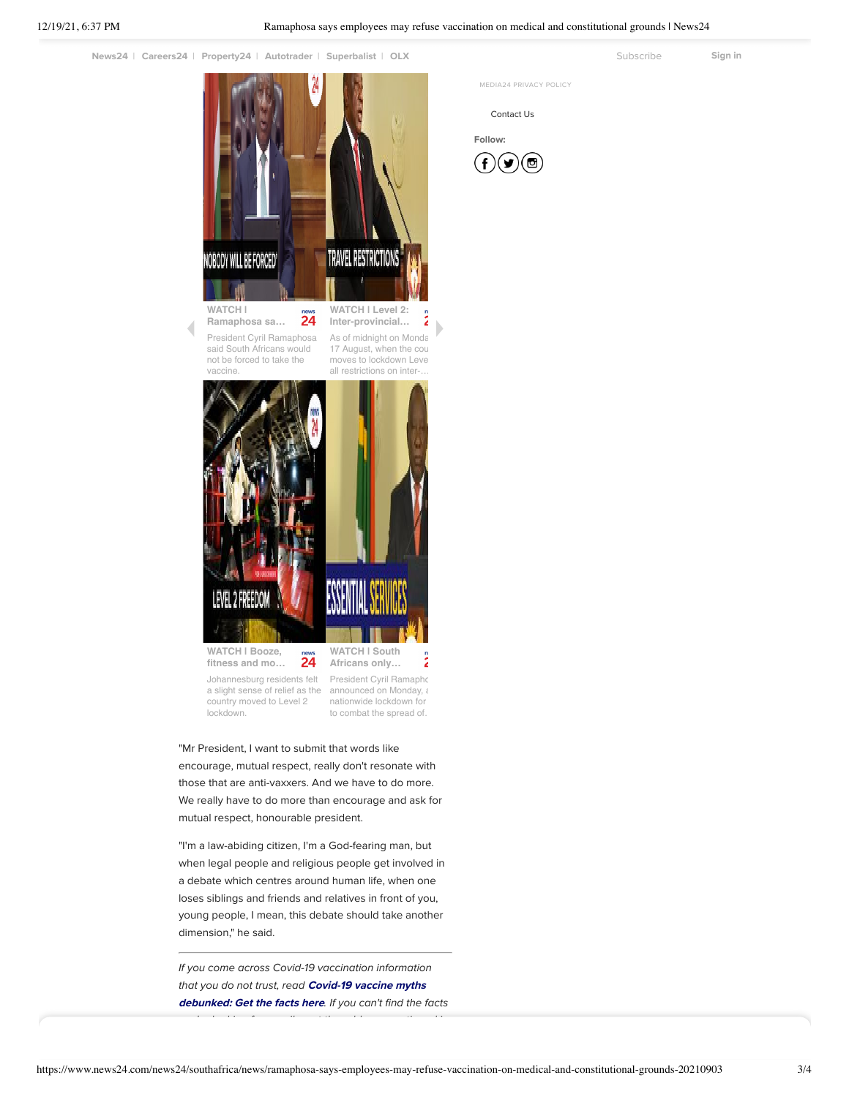[News24](https://www.news24.com/news24) | [Careers24](https://www.careers24.com/) | [Property24](https://www.property24.com/?utm_source=news24.com&utm_medium=referral&utm_campaign=news24-link) | [Autotrader](https://www.autotrader.co.za/) | [Superbalist](https://superbalist.com/) | [OLX](https://www.olx.co.za/?invite=%20news24-za_news24-footer&utm_source=news24-za&utm_%20medium=free&utm_content=%20news24_footer&utm_%20campaign=news24-footer) [Subscribe](https://www.news24.com/subscription) Superbalist | OLX Superbalist | Superbalist | Superbalist | Superbalist | Superbalist | Superbalist | Superbalist | Superbalist | Superbalist | Sup



**fitness and mo…**

**Africans only…**

Johannesburg residents felt [a slight sense of relief as the](javascript:;) country moved to Level 2 lockdown.

[President Cyril Ramapho](javascript:;) announced on Monday, a nationwide lockdown for to combat the spread of.

"Mr President, I want to submit that words like encourage, mutual respect, really don't resonate with those that are anti-vaxxers. And we have to do more. We really have to do more than encourage and ask for mutual respect, honourable president.

"I'm a law-abiding citizen, I'm a God-fearing man, but when legal people and religious people get involved in a debate which centres around human life, when one loses siblings and friends and relatives in front of you, young people, I mean, this debate should take another dimension," he said.

If you come across Covid-19 vaccination information [that you do not trust, read](https://www.news24.com/health24/getting-to-know-vaccines/covid-19-vaccine-myths-debunked-get-the-facts-here-20210708) Covid-19 vaccine myths debunked: Get the facts here. If you can't find the facts

you're looking for, email us at the address mentioned in

[MEDIA24](https://www.media24.com/privacy-policy/) PRIVACY POLICY

[Contact Us](mailto:feedback@news24.com?News24%20Desktop%20Site%20Feedback)